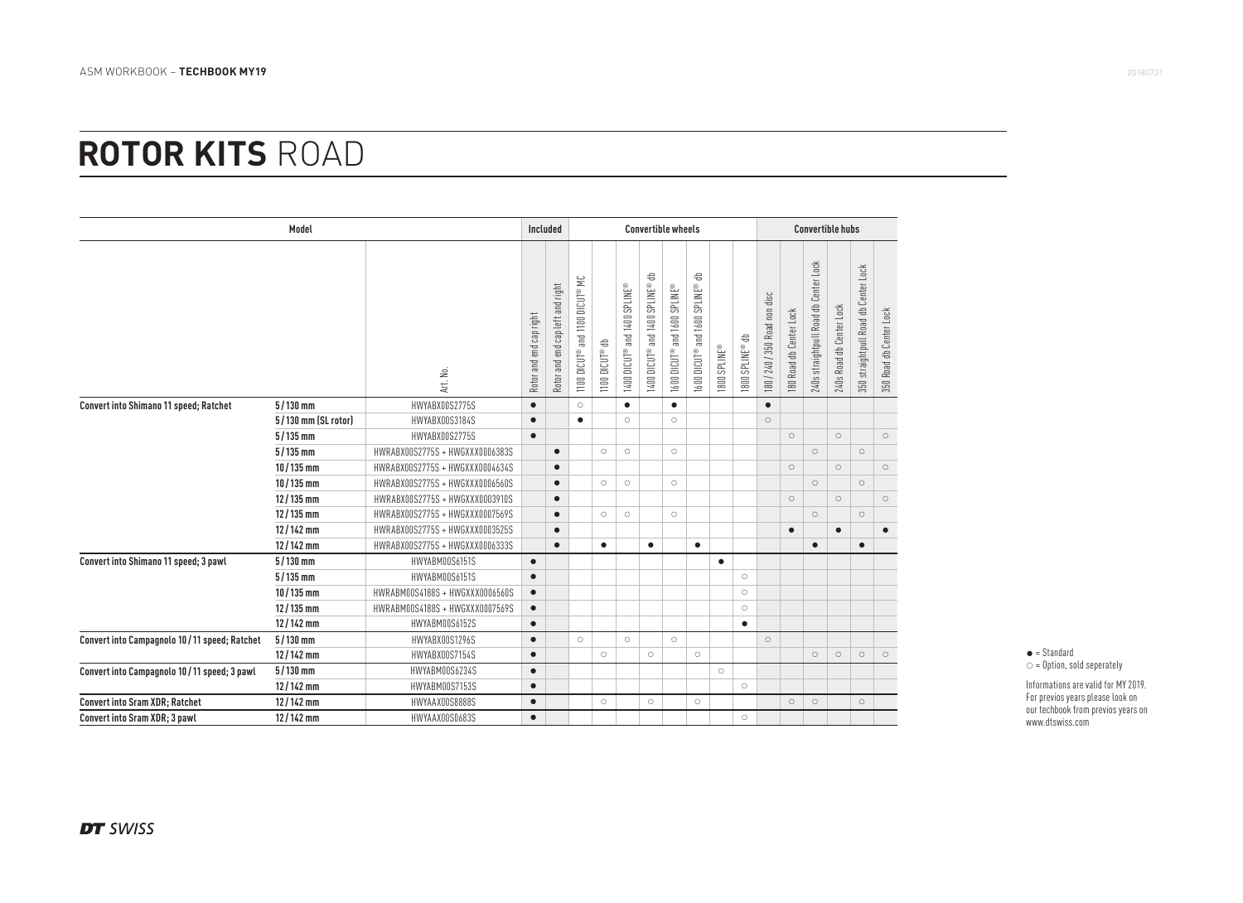## **ROTOR KITS** ROAD

|                                              | Model               |                                 |                         | Included                         | <b>Convertible wheels</b>           |                  |                              |                                 |                              |                                 |              | <b>Convertible hubs</b> |                               |                         |                                       |                          |                                      |                         |  |  |
|----------------------------------------------|---------------------|---------------------------------|-------------------------|----------------------------------|-------------------------------------|------------------|------------------------------|---------------------------------|------------------------------|---------------------------------|--------------|-------------------------|-------------------------------|-------------------------|---------------------------------------|--------------------------|--------------------------------------|-------------------------|--|--|
|                                              |                     | Art. No.                        | Rotor and end cap right | Rotor and end cap left and right | and 1100 DICUT® MC<br>$1100$ DICUT® | $1100$ DICUT® db | 1400 DICUT® and 1400 SPLINE® | 1400 DICUT® and 1400 SPLINE® db | 1600 DICUT® and 1600 SPLINE® | 1600 DICUT® and 1600 SPLINE® db | 1800 SPLINE® | 1800 SPLINE® db         | 180 / 240 / 350 Road non disc | 180 Road db Center Lock | 240s straightpull Road db Center Lock | 240s Road db Center Lock | 350 straightpull Road db Center Lock | 350 Road db Center Lock |  |  |
| Convert into Shimano 11 speed; Ratchet       | $5/130$ mm          | HWYABX00S2775S                  | $\bullet$               |                                  | $\circ$                             |                  | $\bullet$                    |                                 | $\bullet$                    |                                 |              |                         | $\bullet$                     |                         |                                       |                          |                                      |                         |  |  |
|                                              | 5/130 mm (SL rotor) | HWYABX00S3184S                  | $\bullet$               |                                  | $\bullet$                           |                  | $\circ$                      |                                 | $\circ$                      |                                 |              |                         | $\circ$                       |                         |                                       |                          |                                      |                         |  |  |
|                                              | $5/135$ mm          | HWYABX00S2775S                  | $\bullet$               |                                  |                                     |                  |                              |                                 |                              |                                 |              |                         |                               | $\circ$                 |                                       | $\circ$                  |                                      | $\circ$                 |  |  |
|                                              | $5/135$ mm          | HWRABX00S2775S + HWGXXX0006383S |                         | $\bullet$                        |                                     | $\circ$          | $\circ$                      |                                 | $\circlearrowright$          |                                 |              |                         |                               |                         | $\circ$                               |                          | $\circlearrowright$                  |                         |  |  |
|                                              | $10/135$ mm         | HWRABX00S2775S + HWGXXX0004634S |                         | $\bullet$                        |                                     |                  |                              |                                 |                              |                                 |              |                         |                               | $\circlearrowright$     |                                       | $\bigcirc$               |                                      | $\bigcirc$              |  |  |
|                                              | $10/135$ mm         | HWRABX00S2775S + HWGXXX0006560S |                         | $\bullet$                        |                                     | $\circ$          | $\circ$                      |                                 | $\circlearrowright$          |                                 |              |                         |                               |                         | $\circ$                               |                          | $\circ$                              |                         |  |  |
|                                              | $12/135$ mm         | HWRABX00S2775S + HWGXXX0003910S |                         | $\bullet$                        |                                     |                  |                              |                                 |                              |                                 |              |                         |                               | $\circ$                 |                                       | $\circ$                  |                                      | $\circ$                 |  |  |
|                                              | $12/135$ mm         | HWRABX00S2775S + HWGXXX0007569S |                         | $\bullet$                        |                                     | $\circ$          | $\circ$                      |                                 | $\circ$                      |                                 |              |                         |                               |                         | $\circ$                               |                          | $\circ$                              |                         |  |  |
|                                              | $12/142$ mm         | HWRABX00S2775S + HWGXXX0003525S |                         | $\bullet$                        |                                     |                  |                              |                                 |                              |                                 |              |                         |                               | $\bullet$               |                                       | $\bullet$                |                                      | $\bullet$               |  |  |
|                                              | $12/142$ mm         | HWRABX00S2775S + HWGXXX0006333S |                         | $\bullet$                        |                                     | $\bullet$        |                              | $\bullet$                       |                              | $\bullet$                       |              |                         |                               |                         | $\bullet$                             |                          | $\bullet$                            |                         |  |  |
| Convert into Shimano 11 speed; 3 pawl        | $5/130$ mm          | HWYABM00S6151S                  | $\bullet$               |                                  |                                     |                  |                              |                                 |                              |                                 | $\bullet$    |                         |                               |                         |                                       |                          |                                      |                         |  |  |
|                                              | $5/135$ mm          | HWYABM00S6151S                  | $\bullet$               |                                  |                                     |                  |                              |                                 |                              |                                 |              | $\circ$                 |                               |                         |                                       |                          |                                      |                         |  |  |
|                                              | $10/135$ mm         | HWRABM00S4188S + HWGXXX0006560S | $\bullet$               |                                  |                                     |                  |                              |                                 |                              |                                 |              | $\circ$                 |                               |                         |                                       |                          |                                      |                         |  |  |
|                                              | $12/135$ mm         | HWRABM00S4188S + HWGXXX0007569S | $\bullet$               |                                  |                                     |                  |                              |                                 |                              |                                 |              | $\circ$                 |                               |                         |                                       |                          |                                      |                         |  |  |
|                                              | $12/142$ mm         | HWYABM00S6152S                  | $\bullet$               |                                  |                                     |                  |                              |                                 |                              |                                 |              | $\bullet$               |                               |                         |                                       |                          |                                      |                         |  |  |
| Convert into Campagnolo 10/11 speed; Ratchet | $5/130$ mm          | HWYABX00S1296S                  | $\bullet$               |                                  | $\circlearrowright$                 |                  | $\circ$                      |                                 | $\circ$                      |                                 |              |                         | $\circlearrowright$           |                         |                                       |                          |                                      |                         |  |  |
|                                              | $12/142$ mm         | HWYABX00S7154S                  | $\bullet$               |                                  |                                     | $\circ$          |                              | $\circ$                         |                              | $\circ$                         |              |                         |                               |                         | $\circ$                               | $\circ$                  | $\circ$                              | $\circ$                 |  |  |
| Convert into Campagnolo 10/11 speed; 3 pawl  | $5/130$ mm          | HWYABM00S6234S                  | $\bullet$               |                                  |                                     |                  |                              |                                 |                              |                                 | $\circ$      |                         |                               |                         |                                       |                          |                                      |                         |  |  |
|                                              | $12/142$ mm         | HWYABM00S7153S                  | $\bullet$               |                                  |                                     |                  |                              |                                 |                              |                                 |              | $\circ$                 |                               |                         |                                       |                          |                                      |                         |  |  |
| <b>Convert into Sram XDR; Ratchet</b>        | $12/142$ mm         | HWYAAX00S8888S                  | $\bullet$               |                                  |                                     | $\circ$          |                              | $\circ$                         |                              | $\circ$                         |              |                         |                               | $\circ$                 | $\circ$                               |                          | $\circ$                              |                         |  |  |
| Convert into Sram XDR; 3 pawl                | $12/142$ mm         | HWYAAX00S0683S                  | $\bullet$               |                                  |                                     |                  |                              |                                 |                              |                                 |              | $\circ$                 |                               |                         |                                       |                          |                                      |                         |  |  |

 $\bullet$  = Standard  $\circ$  = Option, sold seperately

Informations are valid for MY 2019. For previos years please look on our techbook from previos years on www.dtswiss.com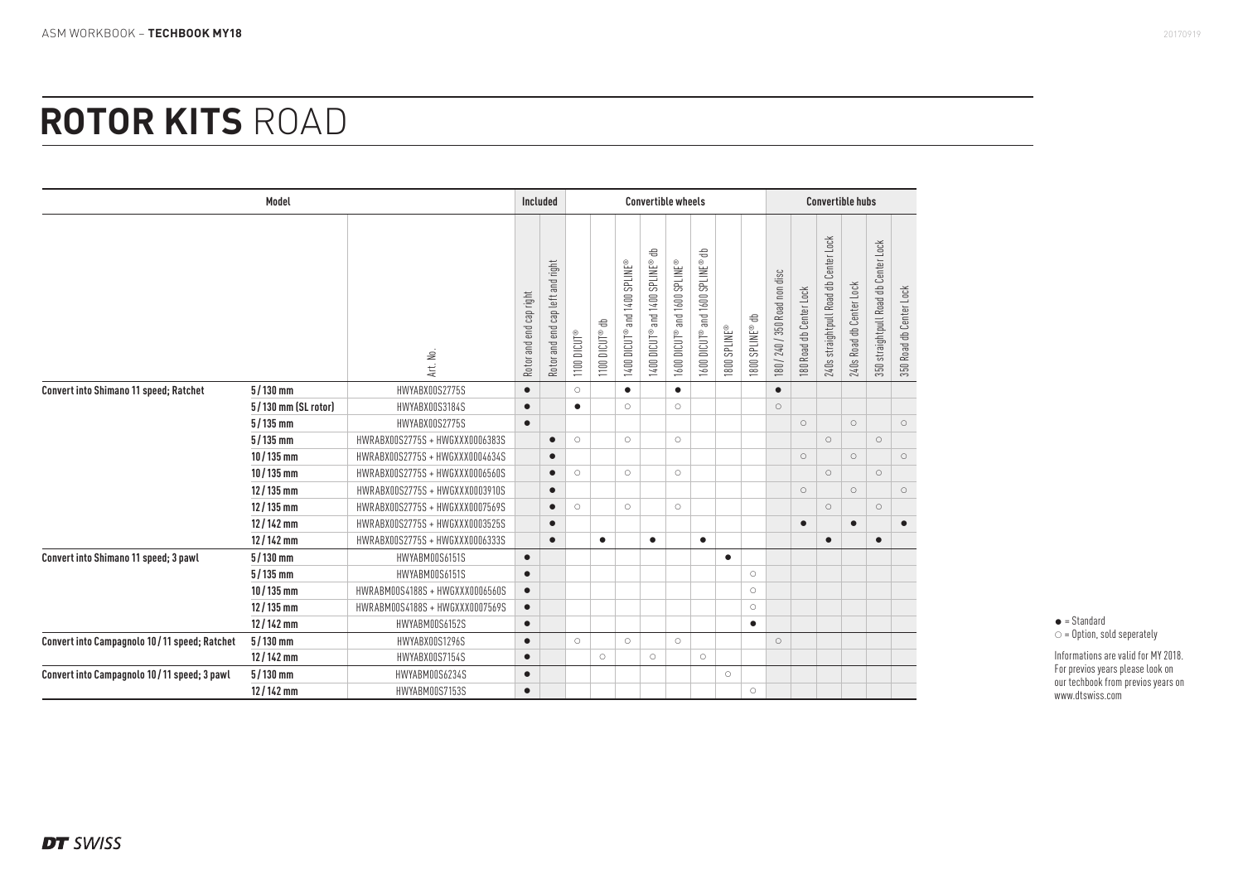## **ROTOR KITS** ROAD

|                                                                        | Model               |                                 |                         | <b>Included</b><br><b>Convertible wheels</b> |                     |                |                              |                                 |                              |                                 | <b>Convertible hubs</b> |                 |                               |                         |                                       |                          |                                      |                         |
|------------------------------------------------------------------------|---------------------|---------------------------------|-------------------------|----------------------------------------------|---------------------|----------------|------------------------------|---------------------------------|------------------------------|---------------------------------|-------------------------|-----------------|-------------------------------|-------------------------|---------------------------------------|--------------------------|--------------------------------------|-------------------------|
|                                                                        |                     | Art. No.                        | Rotor and end cap right | Rotor and end cap left and right             | $1100$ DICUT®       | 1100 DICUT® db | 1400 DICUT® and 1400 SPLINE® | 1400 DICUT® and 1400 SPLINE® db | 1600 DICUT® and 1600 SPLINE® | 1600 DICUT® and 1600 SPLINE® db | 1800 SPLINE®            | 1800 SPLINE® db | 180 / 240 / 350 Road non disc | 180 Road db Center Lock | 240s straightpull Road db Center Lock | 240s Road db Center Lock | 350 straightpull Road db Center Lock | 350 Road db Center Lock |
| HWYABX00S2775S<br>Convert into Shimano 11 speed; Ratchet<br>$5/130$ mm | $\bullet$           |                                 | $\circlearrowright$     |                                              | $\bullet$           |                | $\bullet$                    |                                 |                              |                                 | $\bullet$               |                 |                               |                         |                                       |                          |                                      |                         |
|                                                                        | 5/130 mm (SL rotor) | HWYABX00S3184S                  | $\bullet$               |                                              | $\bullet$           |                | $\circ$                      |                                 | $\circ$                      |                                 |                         |                 | $\circlearrowright$           |                         |                                       |                          |                                      |                         |
|                                                                        | $5/135$ mm          | HWYABX00S2775S                  | $\bullet$               |                                              |                     |                |                              |                                 |                              |                                 |                         |                 |                               | $\circ$                 |                                       | $\circ$                  |                                      | $\circ$                 |
|                                                                        | $5/135$ mm          | HWRABX00S2775S + HWGXXX0006383S |                         | $\bullet$                                    | $\circ$             |                | $\circ$                      |                                 | $\circ$                      |                                 |                         |                 |                               |                         | $\circ$                               |                          | $\circ$                              |                         |
|                                                                        | $10/135$ mm         | HWRABX00S2775S + HWGXXX0004634S |                         | $\bullet$                                    |                     |                |                              |                                 |                              |                                 |                         |                 |                               | $\circ$                 |                                       | $\circ$                  |                                      | $\circ$                 |
|                                                                        | $10/135$ mm         | HWRABX00S2775S + HWGXXX0006560S |                         | $\bullet$                                    | $\circ$             |                | $\circ$                      |                                 | $\circ$                      |                                 |                         |                 |                               |                         | $\circ$                               |                          | $\circ$                              |                         |
|                                                                        | $12/135$ mm         | HWRABX00S2775S + HWGXXX0003910S |                         | $\bullet$                                    |                     |                |                              |                                 |                              |                                 |                         |                 |                               | $\circ$                 |                                       | $\circ$                  |                                      | $\circ$                 |
|                                                                        | $12/135$ mm         | HWRABX00S2775S + HWGXXX0007569S |                         | $\bullet$                                    | $\circ$             |                | $\circ$                      |                                 | $\circ$                      |                                 |                         |                 |                               |                         | $\circ$                               |                          | $\circ$                              |                         |
|                                                                        | $12/142$ mm         | HWRABX00S2775S + HWGXXX0003525S |                         | $\bullet$                                    |                     |                |                              |                                 |                              |                                 |                         |                 |                               |                         |                                       | $\bullet$                |                                      | $\bullet$               |
|                                                                        | $12/142$ mm         | HWRABX00S2775S + HWGXXX0006333S |                         | $\bullet$                                    |                     | $\bullet$      |                              | $\bullet$                       |                              | $\bullet$                       |                         |                 |                               |                         | $\bullet$                             |                          | $\bullet$                            |                         |
| Convert into Shimano 11 speed; 3 pawl                                  | $5/130$ mm          | HWYABM00S6151S                  | $\bullet$               |                                              |                     |                |                              |                                 |                              |                                 | $\bullet$               |                 |                               |                         |                                       |                          |                                      |                         |
|                                                                        | $5/135$ mm          | HWYABM00S6151S                  | $\bullet$               |                                              |                     |                |                              |                                 |                              |                                 |                         | $\circ$         |                               |                         |                                       |                          |                                      |                         |
|                                                                        | $10/135$ mm         | HWRABM00S4188S + HWGXXX0006560S | $\bullet$               |                                              |                     |                |                              |                                 |                              |                                 |                         | $\circ$         |                               |                         |                                       |                          |                                      |                         |
|                                                                        | $12/135$ mm         | HWRABM00S4188S + HWGXXX0007569S | $\bullet$               |                                              |                     |                |                              |                                 |                              |                                 |                         | $\circ$         |                               |                         |                                       |                          |                                      |                         |
|                                                                        | $12/142$ mm         | HWYABM00S6152S                  | $\bullet$               |                                              |                     |                |                              |                                 |                              |                                 |                         | $\bullet$       |                               |                         |                                       |                          |                                      |                         |
| Convert into Campagnolo 10/11 speed; Ratchet                           | $5/130$ mm          | HWYABX00S1296S                  | $\bullet$               |                                              | $\circlearrowright$ |                | $\circ$                      |                                 | $\circ$                      |                                 |                         |                 | $\circlearrowright$           |                         |                                       |                          |                                      |                         |
|                                                                        | $12/142$ mm         | HWYABX00S7154S                  | $\bullet$               |                                              |                     | $\circ$        |                              | $\circ$                         |                              | $\circ$                         |                         |                 |                               |                         |                                       |                          |                                      |                         |
| Convert into Campagnolo 10/11 speed; 3 pawl                            | $5/130$ mm          | HWYABM00S6234S                  | $\bullet$               |                                              |                     |                |                              |                                 |                              |                                 | $\circ$                 |                 |                               |                         |                                       |                          |                                      |                         |
|                                                                        | $12/142$ mm         | HWYABM00S7153S                  | $\bullet$               |                                              |                     |                |                              |                                 |                              |                                 |                         | $\circ$         |                               |                         |                                       |                          |                                      |                         |

 $\bullet$  = Standard  $\circ$  = Option, sold seperately

Informations are valid for MY 2018. For previos years please look on our techbook from previos years on www.dtswiss.com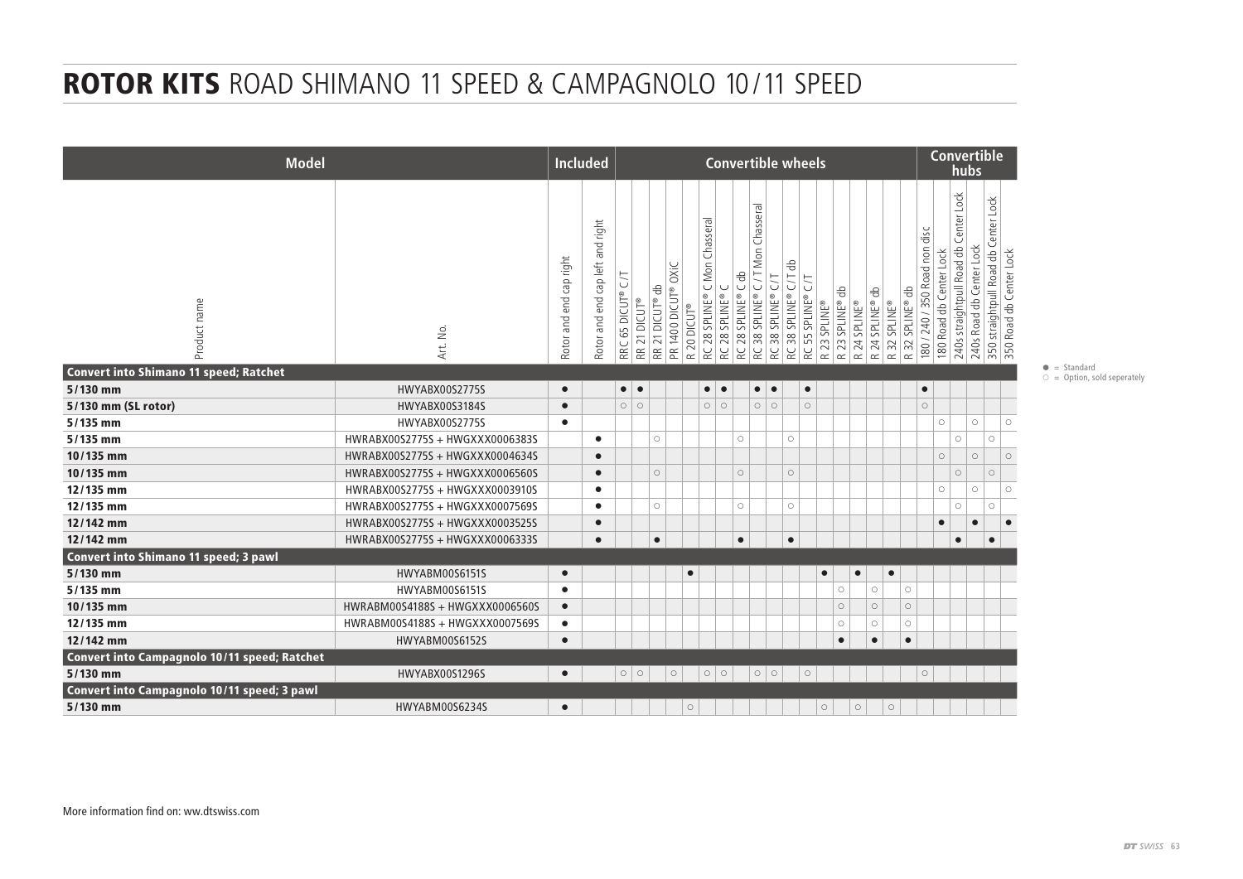## ROTOR KITS ROAD SHIMANO 11 SPEED & CAMPAGNOLO 10 / 11 SPEED

| <b>Model</b>                                              |                                 |                         | Included                            |                                    |                       |                                          |             | <b>Convertible wheels</b>        |                         |                                                                             |                    |                                     |                          |                                                                   |                           |                 |                                                        |                                         | <b>Convertible</b>      |                                                   |                          |                                                                 |               |
|-----------------------------------------------------------|---------------------------------|-------------------------|-------------------------------------|------------------------------------|-----------------------|------------------------------------------|-------------|----------------------------------|-------------------------|-----------------------------------------------------------------------------|--------------------|-------------------------------------|--------------------------|-------------------------------------------------------------------|---------------------------|-----------------|--------------------------------------------------------|-----------------------------------------|-------------------------|---------------------------------------------------|--------------------------|-----------------------------------------------------------------|---------------|
| Product name                                              | Art. No.                        | Rotor and end cap right | cap left and right<br>Rotor and end | C <sub>1</sub><br>65 DICUT®<br>RRC | RR 21 DICUT®          | PR 1400 DICUT® OXIC<br>응<br>RR 21 DICUT® | R 20 DICUT® | C Mon Chasseral<br>RC 28 SPLINE® | 28 SPLINE®<br>$\approx$ | Chasseral<br>Mon<br>RC 28 SPLINE® C db<br>$\cup$<br>38 SPLINE®<br><b>RC</b> | C<br>RC 38 SPLINE® | 응<br>C/7<br>38 SPLINE®<br>$\approx$ | 5)<br>RC 55 SPLINE®<br>⊜ | R 23 SPLINE® db<br><b>SPLINE®</b><br>$\sim$<br>$\sim$<br>$\simeq$ | SPLINE®<br>24<br>$\simeq$ | R 24 SPLINE® db | R 32 SPLINE® db<br><b>SPLINE®</b><br>$\Im$<br>$\simeq$ | non disc<br>Road<br>350<br>240/<br>180/ | 180 Road db Center Lock | Lock<br>Center<br>Road db<br>straightpull<br>240s | 240s Road db Center Lock | 350 straightpull Road db Center Lock<br>350 Road db Center Lock | $\bullet = 9$ |
| <b>Convert into Shimano 11 speed; Ratchet</b><br>5/130 mm | HWYABX00S2775S                  | $\bullet$               |                                     |                                    | $\bullet\;\; \bullet$ |                                          |             | $\bullet$                        | $\bullet$               |                                                                             |                    |                                     | $\bullet$                |                                                                   |                           |                 |                                                        | $\bullet$                               |                         |                                                   |                          |                                                                 | $\circ$ = 0   |
| 5/130 mm (SL rotor)                                       | HWYABX00S3184S                  | $\bullet$               |                                     |                                    | $\circ$ 0             |                                          |             | $\circ$ 0                        |                         |                                                                             | $\circ$ 0          |                                     | $\bigcirc$               |                                                                   |                           |                 |                                                        | $\circ$                                 |                         |                                                   |                          |                                                                 |               |
| 5/135 mm                                                  | HWYABX00S2775S                  | $\bullet$               |                                     |                                    |                       |                                          |             |                                  |                         |                                                                             |                    |                                     |                          |                                                                   |                           |                 |                                                        |                                         | $\circ$                 |                                                   | $\circ$                  | $\circ$                                                         |               |
| $5/135$ mm                                                | HWRABX00S2775S + HWGXXX0006383S |                         | $\bullet$                           |                                    |                       | $\circ$                                  |             |                                  |                         | $\circ$                                                                     |                    | $\circ$                             |                          |                                                                   |                           |                 |                                                        |                                         |                         | $\circ$                                           |                          | $\circ$                                                         |               |
| 10/135 mm                                                 | HWRABX00S2775S + HWGXXX0004634S |                         | $\bullet$                           |                                    |                       |                                          |             |                                  |                         |                                                                             |                    |                                     |                          |                                                                   |                           |                 |                                                        |                                         | $\circ$                 |                                                   | $\circ$                  | $\bigcirc$                                                      |               |
| 10/135 mm                                                 | HWRABX00S2775S + HWGXXX0006560S |                         | $\bullet$                           |                                    |                       | $\circ$                                  |             |                                  |                         | $\circ$                                                                     |                    | $\circ$                             |                          |                                                                   |                           |                 |                                                        |                                         |                         | $\circlearrowright$                               | $\circ$                  |                                                                 |               |
| 12/135 mm                                                 | HWRABX00S2775S + HWGXXX0003910S |                         | $\bullet$                           |                                    |                       |                                          |             |                                  |                         |                                                                             |                    |                                     |                          |                                                                   |                           |                 |                                                        |                                         | $\circ$                 |                                                   | $\circ$                  | $\circ$                                                         |               |
| 12/135 mm                                                 | HWRABX00S2775S + HWGXXX0007569S |                         | $\bullet$                           |                                    |                       | $\circ$                                  |             |                                  |                         | $\circ$                                                                     |                    | $\circ$                             |                          |                                                                   |                           |                 |                                                        |                                         |                         | $\circ$                                           |                          | $\circlearrowright$                                             |               |
| 12/142 mm                                                 | HWRABX00S2775S + HWGXXX0003525S |                         | $\bullet$                           |                                    |                       |                                          |             |                                  |                         |                                                                             |                    |                                     |                          |                                                                   |                           |                 |                                                        |                                         | $\bullet$               |                                                   | $\bullet$                |                                                                 |               |
| 12/142 mm                                                 | HWRABX00S2775S + HWGXXX0006333S |                         | $\bullet$                           |                                    |                       | $\bullet$                                |             |                                  |                         | $\bullet$                                                                   |                    | $\bullet$                           |                          |                                                                   |                           |                 |                                                        |                                         |                         | $\bullet$                                         | $\bullet$                |                                                                 |               |
| <b>Convert into Shimano 11 speed; 3 pawl</b>              |                                 |                         |                                     |                                    |                       |                                          |             |                                  |                         |                                                                             |                    |                                     |                          |                                                                   |                           |                 |                                                        |                                         |                         |                                                   |                          |                                                                 |               |
| 5/130 mm                                                  | HWYABM00S6151S                  | $\bullet$               |                                     |                                    |                       |                                          | $\bullet$   |                                  |                         |                                                                             |                    |                                     |                          |                                                                   |                           |                 | $\bullet$                                              |                                         |                         |                                                   |                          |                                                                 |               |
| 5/135 mm                                                  | HWYABM00S6151S                  | $\bullet$               |                                     |                                    |                       |                                          |             |                                  |                         |                                                                             |                    |                                     |                          | $\circ$                                                           |                           | $\circ$         | $\circ$                                                |                                         |                         |                                                   |                          |                                                                 |               |
| 10/135 mm                                                 | HWRABM00S4188S + HWGXXX0006560S | $\bullet$               |                                     |                                    |                       |                                          |             |                                  |                         |                                                                             |                    |                                     |                          | $\circ$                                                           |                           | $\circ$         | $\circ$                                                |                                         |                         |                                                   |                          |                                                                 |               |
| 12/135 mm                                                 | HWRABM00S4188S + HWGXXX0007569S | $\bullet$               |                                     |                                    |                       |                                          |             |                                  |                         |                                                                             |                    |                                     |                          | $\bigcirc$                                                        |                           | $\circ$         | $\circ$                                                |                                         |                         |                                                   |                          |                                                                 |               |
| 12/142 mm                                                 | HWYABM00S6152S                  | $\bullet$               |                                     |                                    |                       |                                          |             |                                  |                         |                                                                             |                    |                                     |                          | $\bullet$                                                         |                           | $\bullet$       | $\bullet$                                              |                                         |                         |                                                   |                          |                                                                 |               |
| Convert into Campagnolo 10/11 speed; Ratchet              |                                 |                         |                                     |                                    |                       |                                          |             |                                  |                         |                                                                             |                    |                                     |                          |                                                                   |                           |                 |                                                        |                                         |                         |                                                   |                          |                                                                 |               |
| 5/130 mm                                                  | HWYABX00S1296S                  | $\bullet$               |                                     |                                    | $\circ$ 0             | $\circ$                                  |             | $\circ$ 0                        |                         |                                                                             | $\circ$   $\circ$  |                                     | $\bigcirc$               |                                                                   |                           |                 |                                                        | $\circ$                                 |                         |                                                   |                          |                                                                 |               |
| Convert into Campagnolo 10/11 speed; 3 pawl               |                                 |                         |                                     |                                    |                       |                                          |             |                                  |                         |                                                                             |                    |                                     |                          |                                                                   |                           |                 |                                                        |                                         |                         |                                                   |                          |                                                                 |               |
| 5/130 mm                                                  | HWYABM00S6234S                  | $\bullet$               |                                     |                                    |                       |                                          | $\circ$     |                                  |                         |                                                                             |                    |                                     |                          | $\circ$                                                           | $\circ$                   |                 | $\circ$                                                |                                         |                         |                                                   |                          |                                                                 |               |

Standard Option, sold seperately